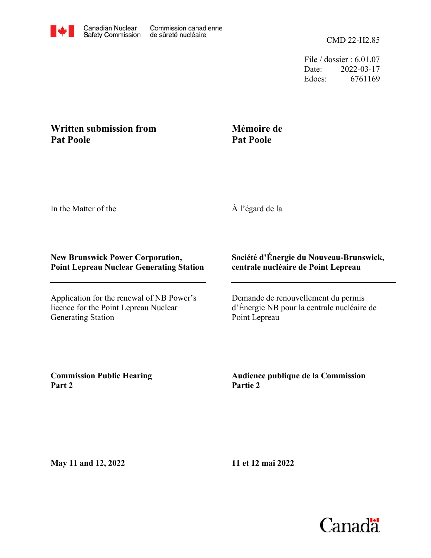

File / dossier : 6.01.07 Date: 2022-03-17 Edocs: 6761169

## **Written submission from Pat Poole**

## **Mémoire de Pat Poole**

In the Matter of the

À l'égard de la

## **New Brunswick Power Corporation, Point Lepreau Nuclear Generating Station**

Application for the renewal of NB Power's licence for the Point Lepreau Nuclear Generating Station

## **Société d'Énergie du Nouveau-Brunswick, centrale nucléaire de Point Lepreau**

Demande de renouvellement du permis d'Énergie NB pour la centrale nucléaire de Point Lepreau

**Commission Public Hearing Part 2**

**Audience publique de la Commission Partie 2**

**May 11 and 12, 2022**

**11 et 12 mai 2022**